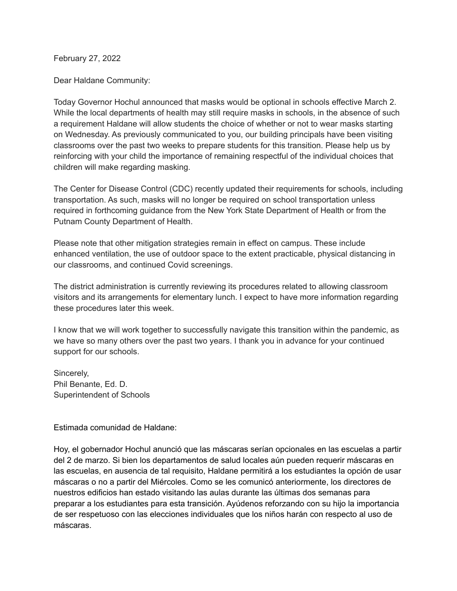February 27, 2022

Dear Haldane Community:

Today Governor Hochul announced that masks would be optional in schools effective March 2. While the local departments of health may still require masks in schools, in the absence of such a requirement Haldane will allow students the choice of whether or not to wear masks starting on Wednesday. As previously communicated to you, our building principals have been visiting classrooms over the past two weeks to prepare students for this transition. Please help us by reinforcing with your child the importance of remaining respectful of the individual choices that children will make regarding masking.

The Center for Disease Control (CDC) recently updated their requirements for schools, including transportation. As such, masks will no longer be required on school transportation unless required in forthcoming guidance from the New York State Department of Health or from the Putnam County Department of Health.

Please note that other mitigation strategies remain in effect on campus. These include enhanced ventilation, the use of outdoor space to the extent practicable, physical distancing in our classrooms, and continued Covid screenings.

The district administration is currently reviewing its procedures related to allowing classroom visitors and its arrangements for elementary lunch. I expect to have more information regarding these procedures later this week.

I know that we will work together to successfully navigate this transition within the pandemic, as we have so many others over the past two years. I thank you in advance for your continued support for our schools.

Sincerely, Phil Benante, Ed. D. Superintendent of Schools

Estimada comunidad de Haldane:

Hoy, el gobernador Hochul anunció que las máscaras serían opcionales en las escuelas a partir del 2 de marzo. Si bien los departamentos de salud locales aún pueden requerir máscaras en las escuelas, en ausencia de tal requisito, Haldane permitirá a los estudiantes la opción de usar máscaras o no a partir del Miércoles. Como se les comunicó anteriormente, los directores de nuestros edificios han estado visitando las aulas durante las últimas dos semanas para preparar a los estudiantes para esta transición. Ayúdenos reforzando con su hijo la importancia de ser respetuoso con las elecciones individuales que los niños harán con respecto al uso de máscaras.